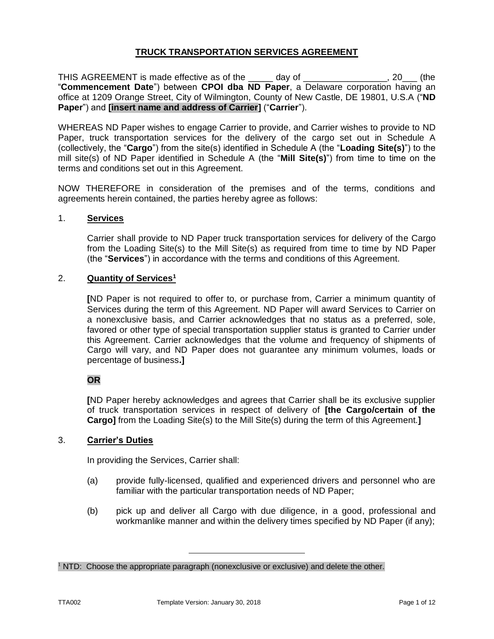# **TRUCK TRANSPORTATION SERVICES AGREEMENT**

THIS AGREEMENT is made effective as of the \_\_\_\_\_ day of \_\_\_\_\_\_\_\_\_\_\_\_\_\_\_\_\_, 20\_\_\_ (the "**Commencement Date**") between **CPOI dba ND Paper**, a Delaware corporation having an office at 1209 Orange Street, City of Wilmington, County of New Castle, DE 19801, U.S.A ("**ND Paper**") and **[insert name and address of Carrier]** ("**Carrier**").

WHEREAS ND Paper wishes to engage Carrier to provide, and Carrier wishes to provide to ND Paper, truck transportation services for the delivery of the cargo set out in Schedule A (collectively, the "**Cargo**") from the site(s) identified in Schedule A (the "**Loading Site(s)**") to the mill site(s) of ND Paper identified in Schedule A (the "**Mill Site(s)**") from time to time on the terms and conditions set out in this Agreement.

NOW THEREFORE in consideration of the premises and of the terms, conditions and agreements herein contained, the parties hereby agree as follows:

## 1. **Services**

Carrier shall provide to ND Paper truck transportation services for delivery of the Cargo from the Loading Site(s) to the Mill Site(s) as required from time to time by ND Paper (the "**Services**") in accordance with the terms and conditions of this Agreement.

## 2. **Quantity of Services<sup>1</sup>**

**[**ND Paper is not required to offer to, or purchase from, Carrier a minimum quantity of Services during the term of this Agreement. ND Paper will award Services to Carrier on a nonexclusive basis, and Carrier acknowledges that no status as a preferred, sole, favored or other type of special transportation supplier status is granted to Carrier under this Agreement. Carrier acknowledges that the volume and frequency of shipments of Cargo will vary, and ND Paper does not guarantee any minimum volumes, loads or percentage of business**.]**

# **OR**

**[**ND Paper hereby acknowledges and agrees that Carrier shall be its exclusive supplier of truck transportation services in respect of delivery of **[the Cargo/certain of the Cargo]** from the Loading Site(s) to the Mill Site(s) during the term of this Agreement.**]**

#### 3. **Carrier's Duties**

In providing the Services, Carrier shall:

- (a) provide fully-licensed, qualified and experienced drivers and personnel who are familiar with the particular transportation needs of ND Paper;
- (b) pick up and deliver all Cargo with due diligence, in a good, professional and workmanlike manner and within the delivery times specified by ND Paper (if any);

<sup>&</sup>lt;sup>1</sup> NTD: Choose the appropriate paragraph (nonexclusive or exclusive) and delete the other.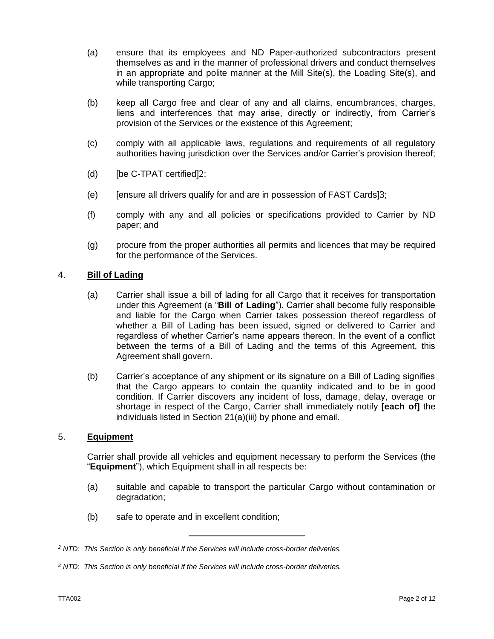- (a) ensure that its employees and ND Paper-authorized subcontractors present themselves as and in the manner of professional drivers and conduct themselves in an appropriate and polite manner at the Mill Site(s), the Loading Site(s), and while transporting Cargo;
- (b) keep all Cargo free and clear of any and all claims, encumbrances, charges, liens and interferences that may arise, directly or indirectly, from Carrier's provision of the Services or the existence of this Agreement;
- (c) comply with all applicable laws, regulations and requirements of all regulatory authorities having jurisdiction over the Services and/or Carrier's provision thereof;
- (d) [be C-TPAT certified]2;
- (e) [ensure all drivers qualify for and are in possession of FAST Cards]3;
- (f) comply with any and all policies or specifications provided to Carrier by ND paper; and
- (g) procure from the proper authorities all permits and licences that may be required for the performance of the Services.

#### 4. **Bill of Lading**

- (a) Carrier shall issue a bill of lading for all Cargo that it receives for transportation under this Agreement (a "**Bill of Lading**"). Carrier shall become fully responsible and liable for the Cargo when Carrier takes possession thereof regardless of whether a Bill of Lading has been issued, signed or delivered to Carrier and regardless of whether Carrier's name appears thereon. In the event of a conflict between the terms of a Bill of Lading and the terms of this Agreement, this Agreement shall govern.
- (b) Carrier's acceptance of any shipment or its signature on a Bill of Lading signifies that the Cargo appears to contain the quantity indicated and to be in good condition. If Carrier discovers any incident of loss, damage, delay, overage or shortage in respect of the Cargo, Carrier shall immediately notify **[each of]** the individuals listed in Section [21\(a\)\(iii\)](#page-11-0) by phone and email.

#### 5. **Equipment**

Carrier shall provide all vehicles and equipment necessary to perform the Services (the "**Equipment**"), which Equipment shall in all respects be:

- (a) suitable and capable to transport the particular Cargo without contamination or degradation;
- (b) safe to operate and in excellent condition;

*<sup>2</sup> NTD: This Section is only beneficial if the Services will include cross-border deliveries.* 

*<sup>3</sup> NTD: This Section is only beneficial if the Services will include cross-border deliveries.*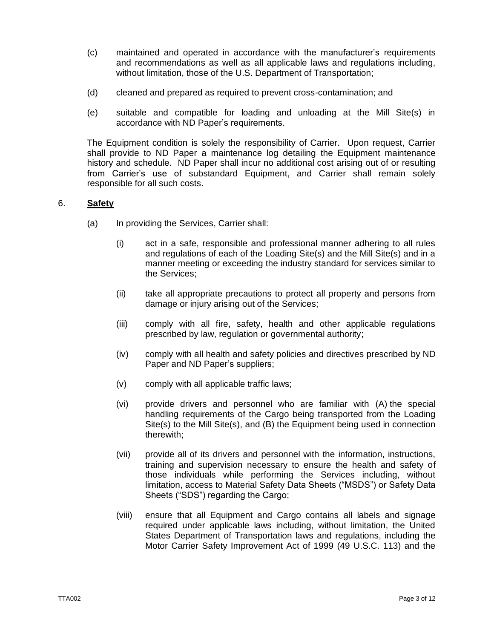- (c) maintained and operated in accordance with the manufacturer's requirements and recommendations as well as all applicable laws and regulations including, without limitation, those of the U.S. Department of Transportation;
- (d) cleaned and prepared as required to prevent cross-contamination; and
- (e) suitable and compatible for loading and unloading at the Mill Site(s) in accordance with ND Paper's requirements.

The Equipment condition is solely the responsibility of Carrier. Upon request, Carrier shall provide to ND Paper a maintenance log detailing the Equipment maintenance history and schedule. ND Paper shall incur no additional cost arising out of or resulting from Carrier's use of substandard Equipment, and Carrier shall remain solely responsible for all such costs.

# <span id="page-2-0"></span>6. **Safety**

- (a) In providing the Services, Carrier shall:
	- (i) act in a safe, responsible and professional manner adhering to all rules and regulations of each of the Loading Site(s) and the Mill Site(s) and in a manner meeting or exceeding the industry standard for services similar to the Services;
	- (ii) take all appropriate precautions to protect all property and persons from damage or injury arising out of the Services;
	- (iii) comply with all fire, safety, health and other applicable regulations prescribed by law, regulation or governmental authority;
	- (iv) comply with all health and safety policies and directives prescribed by ND Paper and ND Paper's suppliers;
	- (v) comply with all applicable traffic laws;
	- (vi) provide drivers and personnel who are familiar with (A) the special handling requirements of the Cargo being transported from the Loading Site(s) to the Mill Site(s), and (B) the Equipment being used in connection therewith;
	- (vii) provide all of its drivers and personnel with the information, instructions, training and supervision necessary to ensure the health and safety of those individuals while performing the Services including, without limitation, access to Material Safety Data Sheets ("MSDS") or Safety Data Sheets ("SDS") regarding the Cargo;
	- (viii) ensure that all Equipment and Cargo contains all labels and signage required under applicable laws including, without limitation, the United States Department of Transportation laws and regulations, including the Motor Carrier Safety Improvement Act of 1999 (49 U.S.C. 113) and the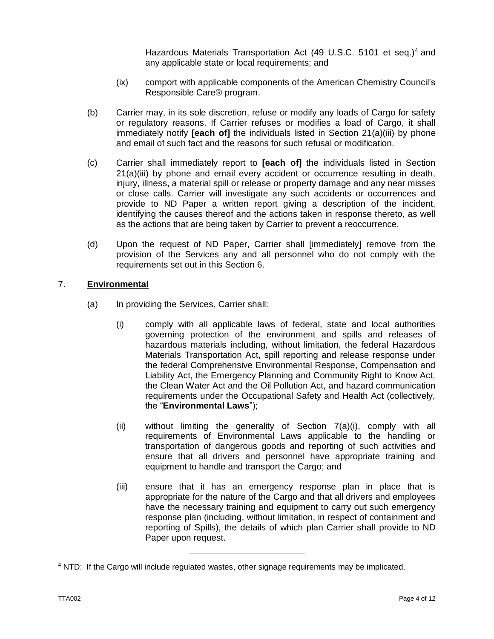Hazardous Materials Transportation Act (49 U.S.C. 5101 et seq.)<sup>4</sup> and any applicable state or local requirements; and

- (ix) comport with applicable components of the American Chemistry Council's Responsible Care® program.
- (b) Carrier may, in its sole discretion, refuse or modify any loads of Cargo for safety or regulatory reasons. If Carrier refuses or modifies a load of Cargo, it shall immediately notify **[each of]** the individuals listed in Section [21\(a\)\(iii\)](#page-11-0) by phone and email of such fact and the reasons for such refusal or modification.
- (c) Carrier shall immediately report to **[each of]** the individuals listed in Section [21\(a\)\(iii\)](#page-11-0) by phone and email every accident or occurrence resulting in death, injury, illness, a material spill or release or property damage and any near misses or close calls. Carrier will investigate any such accidents or occurrences and provide to ND Paper a written report giving a description of the incident, identifying the causes thereof and the actions taken in response thereto, as well as the actions that are being taken by Carrier to prevent a reoccurrence.
- (d) Upon the request of ND Paper, Carrier shall [immediately] remove from the provision of the Services any and all personnel who do not comply with the requirements set out in this Section [6.](#page-2-0)

# <span id="page-3-1"></span><span id="page-3-0"></span>7. **Environmental**

- <span id="page-3-2"></span>(a) In providing the Services, Carrier shall:
	- (i) comply with all applicable laws of federal, state and local authorities governing protection of the environment and spills and releases of hazardous materials including, without limitation, the federal Hazardous Materials Transportation Act, spill reporting and release response under the federal Comprehensive Environmental Response, Compensation and Liability Act, the Emergency Planning and Community Right to Know Act, the Clean Water Act and the Oil Pollution Act, and hazard communication requirements under the Occupational Safety and Health Act (collectively, the "**Environmental Laws**");
	- (ii) without limiting the generality of Section [7](#page-3-0)[\(a\)](#page-3-1)[\(i\),](#page-3-2) comply with all requirements of Environmental Laws applicable to the handling or transportation of dangerous goods and reporting of such activities and ensure that all drivers and personnel have appropriate training and equipment to handle and transport the Cargo; and
	- (iii) ensure that it has an emergency response plan in place that is appropriate for the nature of the Cargo and that all drivers and employees have the necessary training and equipment to carry out such emergency response plan (including, without limitation, in respect of containment and reporting of Spills), the details of which plan Carrier shall provide to ND Paper upon request.

<sup>4</sup> NTD: If the Cargo will include regulated wastes, other signage requirements may be implicated.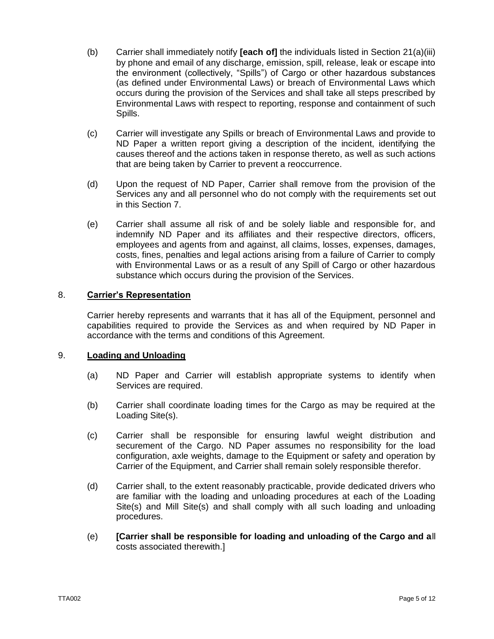- (b) Carrier shall immediately notify **[each of]** the individuals listed in Section [21\(a\)\(iii\)](#page-11-0) by phone and email of any discharge, emission, spill, release, leak or escape into the environment (collectively, "Spills") of Cargo or other hazardous substances (as defined under Environmental Laws) or breach of Environmental Laws which occurs during the provision of the Services and shall take all steps prescribed by Environmental Laws with respect to reporting, response and containment of such Spills.
- (c) Carrier will investigate any Spills or breach of Environmental Laws and provide to ND Paper a written report giving a description of the incident, identifying the causes thereof and the actions taken in response thereto, as well as such actions that are being taken by Carrier to prevent a reoccurrence.
- (d) Upon the request of ND Paper, Carrier shall remove from the provision of the Services any and all personnel who do not comply with the requirements set out in this Section [7.](#page-3-0)
- (e) Carrier shall assume all risk of and be solely liable and responsible for, and indemnify ND Paper and its affiliates and their respective directors, officers, employees and agents from and against, all claims, losses, expenses, damages, costs, fines, penalties and legal actions arising from a failure of Carrier to comply with Environmental Laws or as a result of any Spill of Cargo or other hazardous substance which occurs during the provision of the Services.

# 8. **Carrier's Representation**

Carrier hereby represents and warrants that it has all of the Equipment, personnel and capabilities required to provide the Services as and when required by ND Paper in accordance with the terms and conditions of this Agreement.

# 9. **Loading and Unloading**

- (a) ND Paper and Carrier will establish appropriate systems to identify when Services are required.
- (b) Carrier shall coordinate loading times for the Cargo as may be required at the Loading Site(s).
- (c) Carrier shall be responsible for ensuring lawful weight distribution and securement of the Cargo. ND Paper assumes no responsibility for the load configuration, axle weights, damage to the Equipment or safety and operation by Carrier of the Equipment, and Carrier shall remain solely responsible therefor.
- (d) Carrier shall, to the extent reasonably practicable, provide dedicated drivers who are familiar with the loading and unloading procedures at each of the Loading Site(s) and Mill Site(s) and shall comply with all such loading and unloading procedures.
- (e) **[Carrier shall be responsible for loading and unloading of the Cargo and a**ll costs associated therewith.]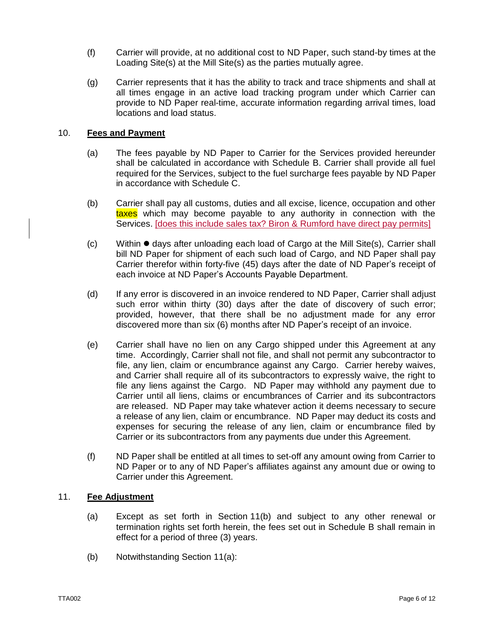- (f) Carrier will provide, at no additional cost to ND Paper, such stand-by times at the Loading Site(s) at the Mill Site(s) as the parties mutually agree.
- (g) Carrier represents that it has the ability to track and trace shipments and shall at all times engage in an active load tracking program under which Carrier can provide to ND Paper real-time, accurate information regarding arrival times, load locations and load status.

## 10. **Fees and Payment**

- (a) The fees payable by ND Paper to Carrier for the Services provided hereunder shall be calculated in accordance with Schedule B. Carrier shall provide all fuel required for the Services, subject to the fuel surcharge fees payable by ND Paper in accordance with Schedule C.
- (b) Carrier shall pay all customs, duties and all excise, licence, occupation and other taxes which may become payable to any authority in connection with the Services. [does this include sales tax? Biron & Rumford have direct pay permits]
- $(c)$  Within  $\bullet$  days after unloading each load of Cargo at the Mill Site(s), Carrier shall bill ND Paper for shipment of each such load of Cargo, and ND Paper shall pay Carrier therefor within forty-five (45) days after the date of ND Paper's receipt of each invoice at ND Paper's Accounts Payable Department.
- (d) If any error is discovered in an invoice rendered to ND Paper, Carrier shall adjust such error within thirty (30) days after the date of discovery of such error; provided, however, that there shall be no adjustment made for any error discovered more than six (6) months after ND Paper's receipt of an invoice.
- (e) Carrier shall have no lien on any Cargo shipped under this Agreement at any time. Accordingly, Carrier shall not file, and shall not permit any subcontractor to file, any lien, claim or encumbrance against any Cargo. Carrier hereby waives, and Carrier shall require all of its subcontractors to expressly waive, the right to file any liens against the Cargo. ND Paper may withhold any payment due to Carrier until all liens, claims or encumbrances of Carrier and its subcontractors are released. ND Paper may take whatever action it deems necessary to secure a release of any lien, claim or encumbrance. ND Paper may deduct its costs and expenses for securing the release of any lien, claim or encumbrance filed by Carrier or its subcontractors from any payments due under this Agreement.
- (f) ND Paper shall be entitled at all times to set-off any amount owing from Carrier to ND Paper or to any of ND Paper's affiliates against any amount due or owing to Carrier under this Agreement.

#### 11. **Fee Adjustment**

- (a) Except as set forth in Section 11(b) and subject to any other renewal or termination rights set forth herein, the fees set out in Schedule B shall remain in effect for a period of three (3) years.
- (b) Notwithstanding Section 11(a):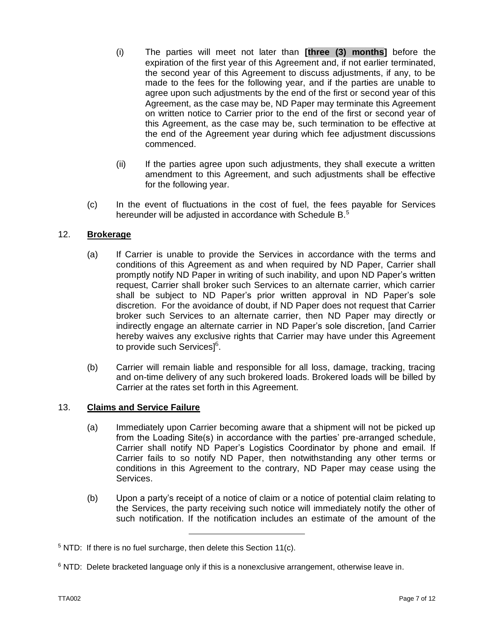- (i) The parties will meet not later than **[three (3) months]** before the expiration of the first year of this Agreement and, if not earlier terminated, the second year of this Agreement to discuss adjustments, if any, to be made to the fees for the following year, and if the parties are unable to agree upon such adjustments by the end of the first or second year of this Agreement, as the case may be, ND Paper may terminate this Agreement on written notice to Carrier prior to the end of the first or second year of this Agreement, as the case may be, such termination to be effective at the end of the Agreement year during which fee adjustment discussions commenced.
- (ii) If the parties agree upon such adjustments, they shall execute a written amendment to this Agreement, and such adjustments shall be effective for the following year.
- (c) In the event of fluctuations in the cost of fuel, the fees payable for Services hereunder will be adjusted in accordance with Schedule B.<sup>5</sup>

# 12. **Brokerage**

- (a) If Carrier is unable to provide the Services in accordance with the terms and conditions of this Agreement as and when required by ND Paper, Carrier shall promptly notify ND Paper in writing of such inability, and upon ND Paper's written request, Carrier shall broker such Services to an alternate carrier, which carrier shall be subject to ND Paper's prior written approval in ND Paper's sole discretion. For the avoidance of doubt, if ND Paper does not request that Carrier broker such Services to an alternate carrier, then ND Paper may directly or indirectly engage an alternate carrier in ND Paper's sole discretion, [and Carrier hereby waives any exclusive rights that Carrier may have under this Agreement to provide such Services] $^6$ .
- (b) Carrier will remain liable and responsible for all loss, damage, tracking, tracing and on-time delivery of any such brokered loads. Brokered loads will be billed by Carrier at the rates set forth in this Agreement.

#### 13. **Claims and Service Failure**

- (a) Immediately upon Carrier becoming aware that a shipment will not be picked up from the Loading Site(s) in accordance with the parties' pre-arranged schedule, Carrier shall notify ND Paper's Logistics Coordinator by phone and email. If Carrier fails to so notify ND Paper, then notwithstanding any other terms or conditions in this Agreement to the contrary, ND Paper may cease using the Services.
- (b) Upon a party's receipt of a notice of claim or a notice of potential claim relating to the Services, the party receiving such notice will immediately notify the other of such notification. If the notification includes an estimate of the amount of the

 $5$  NTD: If there is no fuel surcharge, then delete this Section 11(c).

 $6$  NTD: Delete bracketed language only if this is a nonexclusive arrangement, otherwise leave in.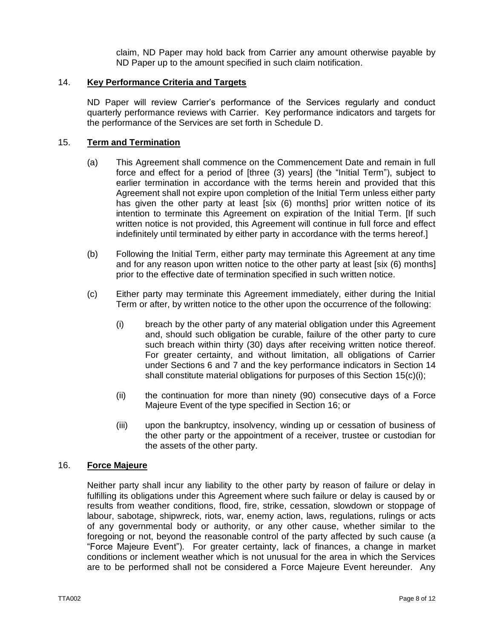claim, ND Paper may hold back from Carrier any amount otherwise payable by ND Paper up to the amount specified in such claim notification.

## 14. **Key Performance Criteria and Targets**

ND Paper will review Carrier's performance of the Services regularly and conduct quarterly performance reviews with Carrier. Key performance indicators and targets for the performance of the Services are set forth in Schedule D.

#### <span id="page-7-0"></span>15. **Term and Termination**

- (a) This Agreement shall commence on the Commencement Date and remain in full force and effect for a period of [three (3) years] (the "Initial Term"), subject to earlier termination in accordance with the terms herein and provided that this Agreement shall not expire upon completion of the Initial Term unless either party has given the other party at least [six (6) months] prior written notice of its intention to terminate this Agreement on expiration of the Initial Term. [If such written notice is not provided, this Agreement will continue in full force and effect indefinitely until terminated by either party in accordance with the terms hereof.]
- (b) Following the Initial Term, either party may terminate this Agreement at any time and for any reason upon written notice to the other party at least [six (6) months] prior to the effective date of termination specified in such written notice.
- (c) Either party may terminate this Agreement immediately, either during the Initial Term or after, by written notice to the other upon the occurrence of the following:
	- (i) breach by the other party of any material obligation under this Agreement and, should such obligation be curable, failure of the other party to cure such breach within thirty (30) days after receiving written notice thereof. For greater certainty, and without limitation, all obligations of Carrier under Sections 6 and 7 and the key performance indicators in Section 14 shall constitute material obligations for purposes of this Section [15\(](#page-7-0)c)(i);
	- (ii) the continuation for more than ninety (90) consecutive days of a Force Majeure Event of the type specified in Section 16; or
	- (iii) upon the bankruptcy, insolvency, winding up or cessation of business of the other party or the appointment of a receiver, trustee or custodian for the assets of the other party.

#### 16. **Force Majeure**

Neither party shall incur any liability to the other party by reason of failure or delay in fulfilling its obligations under this Agreement where such failure or delay is caused by or results from weather conditions, flood, fire, strike, cessation, slowdown or stoppage of labour, sabotage, shipwreck, riots, war, enemy action, laws, regulations, rulings or acts of any governmental body or authority, or any other cause, whether similar to the foregoing or not, beyond the reasonable control of the party affected by such cause (a "Force Majeure Event"). For greater certainty, lack of finances, a change in market conditions or inclement weather which is not unusual for the area in which the Services are to be performed shall not be considered a Force Majeure Event hereunder. Any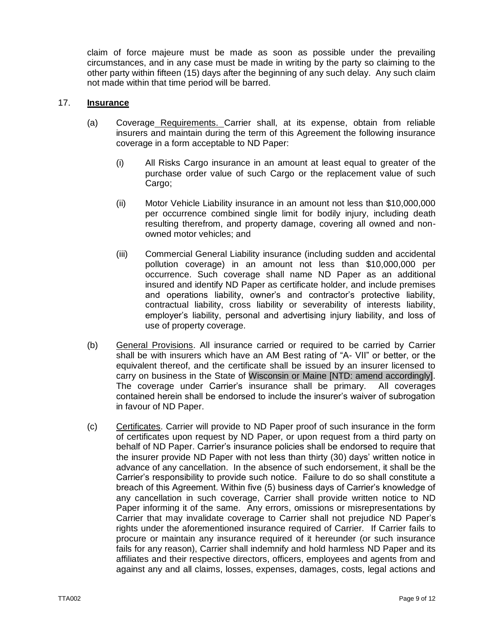claim of force majeure must be made as soon as possible under the prevailing circumstances, and in any case must be made in writing by the party so claiming to the other party within fifteen (15) days after the beginning of any such delay. Any such claim not made within that time period will be barred.

## 17. **Insurance**

- (a) Coverage Requirements. Carrier shall, at its expense, obtain from reliable insurers and maintain during the term of this Agreement the following insurance coverage in a form acceptable to ND Paper:
	- (i) All Risks Cargo insurance in an amount at least equal to greater of the purchase order value of such Cargo or the replacement value of such Cargo;
	- (ii) Motor Vehicle Liability insurance in an amount not less than \$10,000,000 per occurrence combined single limit for bodily injury, including death resulting therefrom, and property damage, covering all owned and nonowned motor vehicles; and
	- (iii) Commercial General Liability insurance (including sudden and accidental pollution coverage) in an amount not less than \$10,000,000 per occurrence. Such coverage shall name ND Paper as an additional insured and identify ND Paper as certificate holder, and include premises and operations liability, owner's and contractor's protective liability, contractual liability, cross liability or severability of interests liability, employer's liability, personal and advertising injury liability, and loss of use of property coverage.
- (b) General Provisions. All insurance carried or required to be carried by Carrier shall be with insurers which have an AM Best rating of "A- VII" or better, or the equivalent thereof, and the certificate shall be issued by an insurer licensed to carry on business in the State of Wisconsin or Maine [NTD: amend accordingly]. The coverage under Carrier's insurance shall be primary. All coverages contained herein shall be endorsed to include the insurer's waiver of subrogation in favour of ND Paper.
- (c) Certificates. Carrier will provide to ND Paper proof of such insurance in the form of certificates upon request by ND Paper, or upon request from a third party on behalf of ND Paper. Carrier's insurance policies shall be endorsed to require that the insurer provide ND Paper with not less than thirty (30) days' written notice in advance of any cancellation. In the absence of such endorsement, it shall be the Carrier's responsibility to provide such notice. Failure to do so shall constitute a breach of this Agreement. Within five (5) business days of Carrier's knowledge of any cancellation in such coverage, Carrier shall provide written notice to ND Paper informing it of the same. Any errors, omissions or misrepresentations by Carrier that may invalidate coverage to Carrier shall not prejudice ND Paper's rights under the aforementioned insurance required of Carrier. If Carrier fails to procure or maintain any insurance required of it hereunder (or such insurance fails for any reason), Carrier shall indemnify and hold harmless ND Paper and its affiliates and their respective directors, officers, employees and agents from and against any and all claims, losses, expenses, damages, costs, legal actions and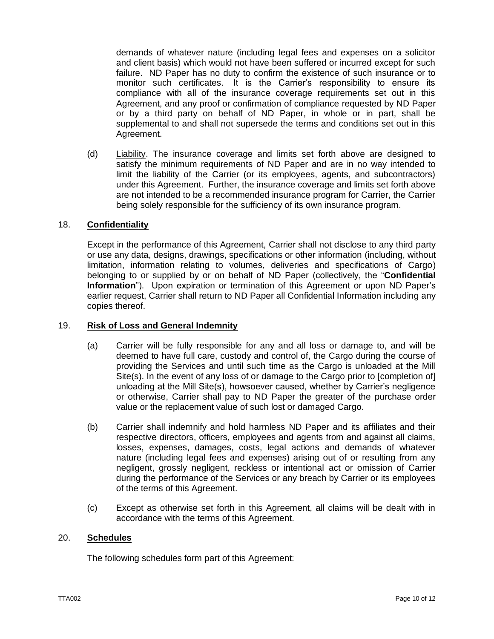demands of whatever nature (including legal fees and expenses on a solicitor and client basis) which would not have been suffered or incurred except for such failure. ND Paper has no duty to confirm the existence of such insurance or to monitor such certificates. It is the Carrier's responsibility to ensure its compliance with all of the insurance coverage requirements set out in this Agreement, and any proof or confirmation of compliance requested by ND Paper or by a third party on behalf of ND Paper, in whole or in part, shall be supplemental to and shall not supersede the terms and conditions set out in this Agreement.

(d) Liability. The insurance coverage and limits set forth above are designed to satisfy the minimum requirements of ND Paper and are in no way intended to limit the liability of the Carrier (or its employees, agents, and subcontractors) under this Agreement. Further, the insurance coverage and limits set forth above are not intended to be a recommended insurance program for Carrier, the Carrier being solely responsible for the sufficiency of its own insurance program.

## 18. **Confidentiality**

Except in the performance of this Agreement, Carrier shall not disclose to any third party or use any data, designs, drawings, specifications or other information (including, without limitation, information relating to volumes, deliveries and specifications of Cargo) belonging to or supplied by or on behalf of ND Paper (collectively, the "**Confidential Information**"). Upon expiration or termination of this Agreement or upon ND Paper's earlier request, Carrier shall return to ND Paper all Confidential Information including any copies thereof.

#### 19. **Risk of Loss and General Indemnity**

- (a) Carrier will be fully responsible for any and all loss or damage to, and will be deemed to have full care, custody and control of, the Cargo during the course of providing the Services and until such time as the Cargo is unloaded at the Mill Site(s). In the event of any loss of or damage to the Cargo prior to [completion of] unloading at the Mill Site(s), howsoever caused, whether by Carrier's negligence or otherwise, Carrier shall pay to ND Paper the greater of the purchase order value or the replacement value of such lost or damaged Cargo.
- (b) Carrier shall indemnify and hold harmless ND Paper and its affiliates and their respective directors, officers, employees and agents from and against all claims, losses, expenses, damages, costs, legal actions and demands of whatever nature (including legal fees and expenses) arising out of or resulting from any negligent, grossly negligent, reckless or intentional act or omission of Carrier during the performance of the Services or any breach by Carrier or its employees of the terms of this Agreement.
- (c) Except as otherwise set forth in this Agreement, all claims will be dealt with in accordance with the terms of this Agreement.

## 20. **Schedules**

The following schedules form part of this Agreement: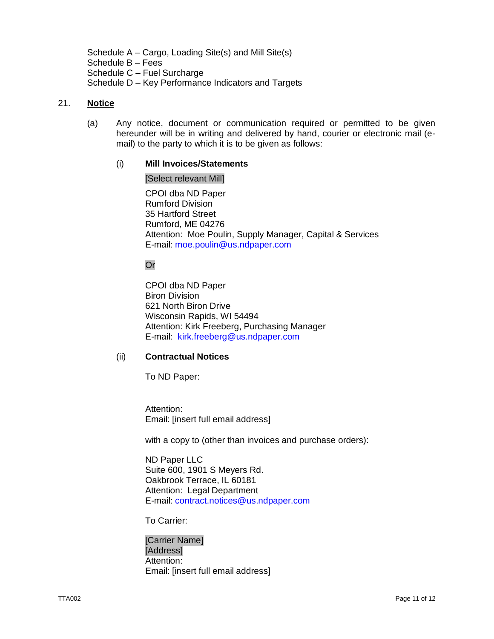Schedule A – Cargo, Loading Site(s) and Mill Site(s) Schedule B – Fees Schedule C – Fuel Surcharge Schedule D – Key Performance Indicators and Targets

## 21. **Notice**

(a) Any notice, document or communication required or permitted to be given hereunder will be in writing and delivered by hand, courier or electronic mail (email) to the party to which it is to be given as follows:

#### (i) **Mill Invoices/Statements**

#### [Select relevant Mill]

CPOI dba ND Paper Rumford Division 35 Hartford Street Rumford, ME 04276 Attention: Moe Poulin, Supply Manager, Capital & Services E-mail: [moe.poulin@us.ndpaper.com](mailto:moe.poulin@us.ndpaper.com) 

**Or** 

CPOI dba ND Paper Biron Division 621 North Biron Drive Wisconsin Rapids, WI 54494 Attention: Kirk Freeberg, Purchasing Manager E-mail: [kirk.freeberg@us.ndpaper.com](mailto:kirk.freeberg@us.ndpaper.com)

#### (ii) **Contractual Notices**

To ND Paper:

Attention: Email: [insert full email address]

with a copy to (other than invoices and purchase orders):

ND Paper LLC Suite 600, 1901 S Meyers Rd. Oakbrook Terrace, IL 60181 Attention: Legal Department E-mail: [contract.notices@us.ndpaper.com](mailto:contract.notices@us.ndpaper.com)

To Carrier:

[Carrier Name] [Address] Attention: Email: [insert full email address]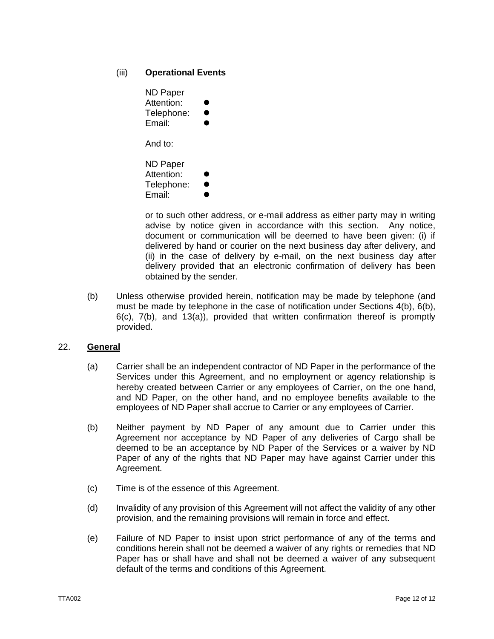# <span id="page-11-0"></span>(iii) **Operational Events**

| <b>ND Paper</b> |  |
|-----------------|--|
| Attention:      |  |
| Telephone:      |  |
| Email:          |  |
| And to:         |  |

ND Paper Attention: Telephone: Email:

or to such other address, or e-mail address as either party may in writing advise by notice given in accordance with this section. Any notice, document or communication will be deemed to have been given: (i) if delivered by hand or courier on the next business day after delivery, and (ii) in the case of delivery by e-mail, on the next business day after delivery provided that an electronic confirmation of delivery has been obtained by the sender.

(b) Unless otherwise provided herein, notification may be made by telephone (and must be made by telephone in the case of notification under Sections 4(b), 6(b), 6(c), 7(b), and 13(a)), provided that written confirmation thereof is promptly provided.

# 22. **General**

- (a) Carrier shall be an independent contractor of ND Paper in the performance of the Services under this Agreement, and no employment or agency relationship is hereby created between Carrier or any employees of Carrier, on the one hand, and ND Paper, on the other hand, and no employee benefits available to the employees of ND Paper shall accrue to Carrier or any employees of Carrier.
- (b) Neither payment by ND Paper of any amount due to Carrier under this Agreement nor acceptance by ND Paper of any deliveries of Cargo shall be deemed to be an acceptance by ND Paper of the Services or a waiver by ND Paper of any of the rights that ND Paper may have against Carrier under this Agreement.
- (c) Time is of the essence of this Agreement.
- (d) Invalidity of any provision of this Agreement will not affect the validity of any other provision, and the remaining provisions will remain in force and effect.
- (e) Failure of ND Paper to insist upon strict performance of any of the terms and conditions herein shall not be deemed a waiver of any rights or remedies that ND Paper has or shall have and shall not be deemed a waiver of any subsequent default of the terms and conditions of this Agreement.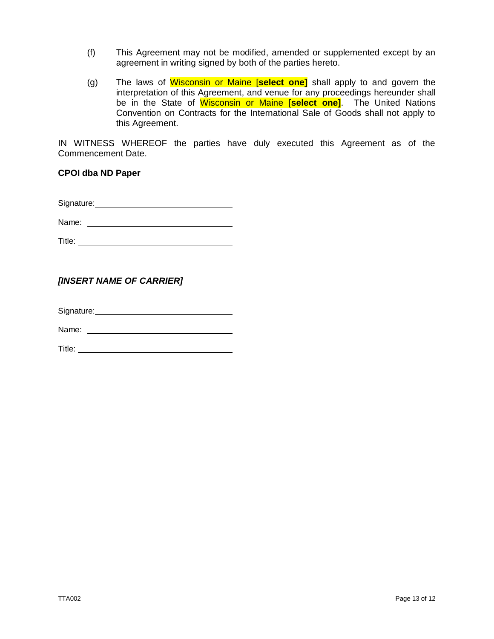- (f) This Agreement may not be modified, amended or supplemented except by an agreement in writing signed by both of the parties hereto.
- (g) The laws of Wisconsin or Maine [**select one]** shall apply to and govern the interpretation of this Agreement, and venue for any proceedings hereunder shall be in the State of Wisconsin or Maine [**select one]**. The United Nations Convention on Contracts for the International Sale of Goods shall not apply to this Agreement.

IN WITNESS WHEREOF the parties have duly executed this Agreement as of the Commencement Date.

**CPOI dba ND Paper**

Signature: Management Control of the Signature:

Name:

Title:

## *[INSERT NAME OF CARRIER]*

Signature: Web and the Signature of the Signature of the Signature of the Signature of the Signature of the Signature of the Signature of the Signature of the Signature of the Signature of the Signature of the Signature of

Name: when the contract of the contract of the contract of the contract of the contract of the contract of the contract of the contract of the contract of the contract of the contract of the contract of the contract of the

Title: **The Community of the Community of the Community of the Community of the Community of the Community of the Community of the Community of the Community of the Community of the Community of the Community of the Commun**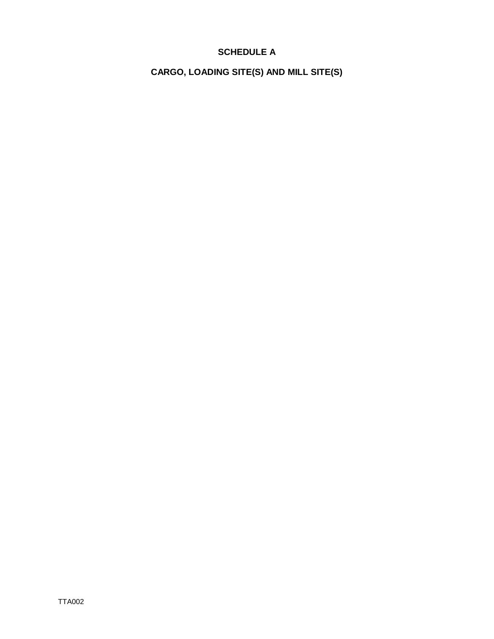# **SCHEDULE A**

**CARGO, LOADING SITE(S) AND MILL SITE(S)**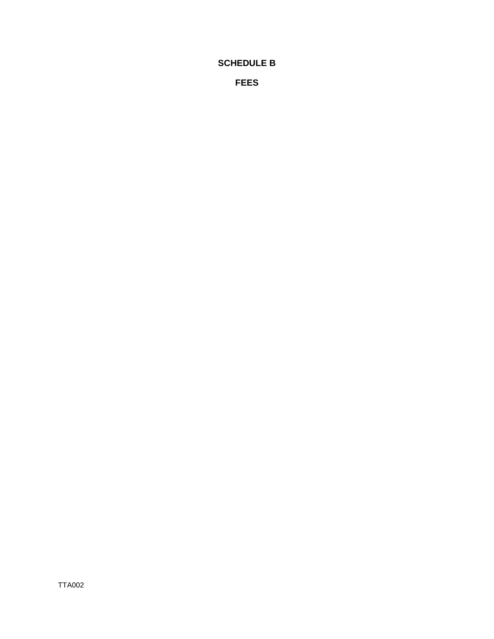# **SCHEDULE B**

**FEES**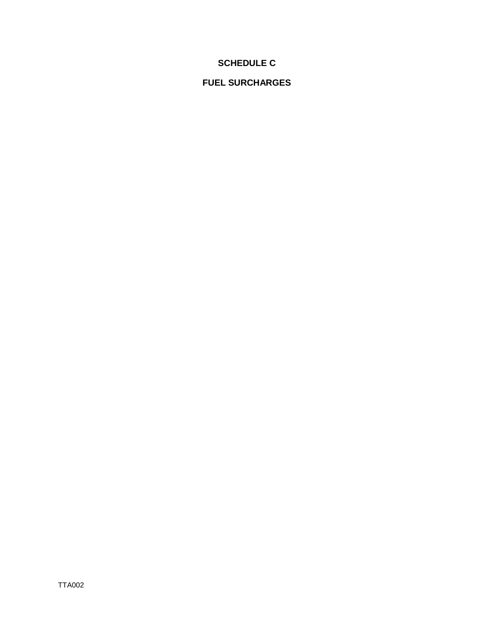# **SCHEDULE C**

# **FUEL SURCHARGES**